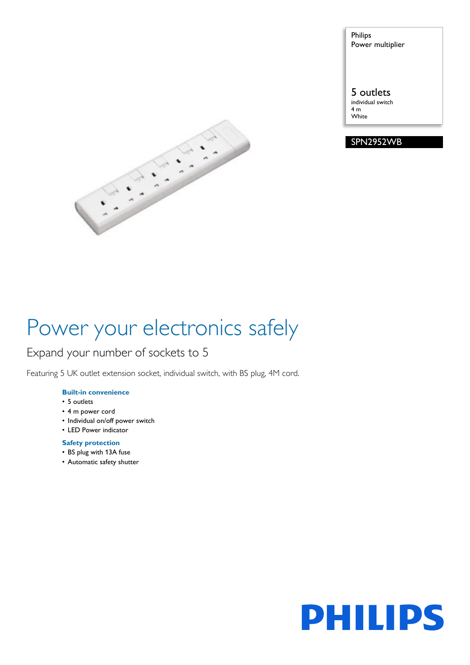Philips Power multiplier

### 5 outlets

individual switch 4 m **White** 





# Power your electronics safely

### Expand your number of sockets to 5

Featuring 5 UK outlet extension socket, individual switch, with BS plug, 4M cord.

### **Built-in convenience**

- 5 outlets
- 4 m power cord
- Individual on/off power switch
- LED Power indicator

#### **Safety protection**

- BS plug with 13A fuse
- Automatic safety shutter